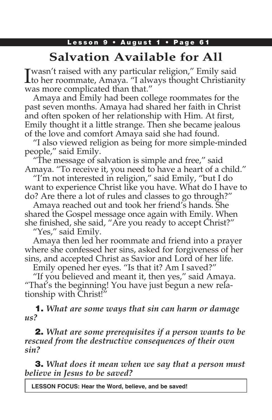# **Salvation Available for All**

I wasn't raised with any particular religion," Emily said **L** to her roommate, Amaya. "I always thought Christianity was more complicated than that."

Amaya and Emily had been college roommates for the past seven months. Amaya had shared her faith in Christ and often spoken of her relationship with Him. At first, Emily thought it a little strange. Then she became jealous of the love and comfort Amaya said she had found.

"I also viewed religion as being for more simple-minded people," said Emily.

"The message of salvation is simple and free," said Amaya. "To receive it, you need to have a heart of a child."

"I'm not interested in religion," said Emily, "but I do want to experience Christ like you have. What do I have to do? Are there a lot of rules and classes to go through?"

Amaya reached out and took her friend's hands. She shared the Gospel message once again with Emily. When she finished, she said, "Are you ready to accept Christ?"

"Yes," said Emily.

Amaya then led her roommate and friend into a prayer where she confessed her sins, asked for forgiveness of her sins, and accepted Christ as Savior and Lord of her life.

Emily opened her eyes. "Is that it? Am I saved?"

"If you believed and meant it, then yes," said Amaya. "That's the beginning! You have just begun a new relationship with Christ!"

1. *What are some ways that sin can harm or damage us?*

2. *What are some prerequisites if a person wants to be rescued from the destructive consequences of their own sin?*

3. *What does it mean when we say that a person must believe in Jesus to be saved?*

**LESSON FOCUS: Hear the Word, believe, and be saved!**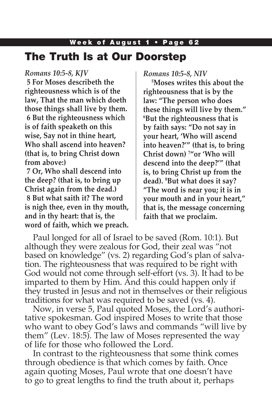### Week of August 1 • Page 62 The Truth Is at Our Doorstep

### *Romans 10:5-8, KJV*

**5 For Moses describeth the righteousness which is of the law, That the man which doeth those things shall live by them. 6 But the righteousness which is of faith speaketh on this wise, Say not in thine heart, Who shall ascend into heaven? (that is, to bring Christ down from above:)**

**7 Or, Who shall descend into the deep? (that is, to bring up Christ again from the dead.) 8 But what saith it? The word is nigh thee, even in thy mouth, and in thy heart: that is, the word of faith, which we preach.**

*Romans 10:5-8, NIV*

**5 Moses writes this about the righteousness that is by the law: "The person who does these things will live by them." 6 But the righteousness that is by faith says: "Do not say in your heart, 'Who will ascend into heaven?'" (that is, to bring Christ down) 7 "or 'Who will descend into the deep?'" (that is, to bring Christ up from the dead). 8 But what does it say? "The word is near you; it is in your mouth and in your heart," that is, the message concerning faith that we proclaim.** 

Paul longed for all of Israel to be saved (Rom. 10:1). But although they were zealous for God, their zeal was "not based on knowledge" (vs. 2) regarding God's plan of salvation. The righteousness that was required to be right with God would not come through self-effort (vs. 3). It had to be imparted to them by Him. And this could happen only if they trusted in Jesus and not in themselves or their religious traditions for what was required to be saved (vs. 4).

Now, in verse 5, Paul quoted Moses, the Lord's authoritative spokesman. God inspired Moses to write that those who want to obey God's laws and commands "will live by them" (Lev. 18:5). The law of Moses represented the way of life for those who followed the Lord.

In contrast to the righteousness that some think comes through obedience is that which comes by faith. Once again quoting Moses, Paul wrote that one doesn't have to go to great lengths to find the truth about it, perhaps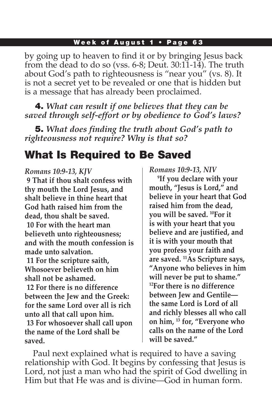### Week of August 1 • Page 63

by going up to heaven to find it or by bringing Jesus back from the dead to do so (vss. 6-8; Deut. 30:11-14). The truth about God's path to righteousness is "near you" (vs. 8). It is not a secret yet to be revealed or one that is hidden but is a message that has already been proclaimed.

4. *What can result if one believes that they can be saved through self-effort or by obedience to God's laws?*

5. *What does finding the truth about God's path to righteousness not require? Why is that so?*

## What Is Required to Be Saved

### *Romans 10:9-13, KJV*

**9 That if thou shalt confess with thy mouth the Lord Jesus, and shalt believe in thine heart that God hath raised him from the dead, thou shalt be saved. 10 For with the heart man believeth unto righteousness; and with the mouth confession is made unto salvation. 11 For the scripture saith, Whosoever believeth on him shall not be ashamed. 12 For there is no difference between the Jew and the Greek: for the same Lord over all is rich unto all that call upon him. 13 For whosoever shall call upon the name of the Lord shall be saved.**

*Romans 10:9-13, NIV*

**9 If you declare with your mouth, "Jesus is Lord," and believe in your heart that God raised him from the dead, you will be saved. 10For it is with your heart that you believe and are justified, and it is with your mouth that you profess your faith and are saved. 11As Scripture says, "Anyone who believes in him will never be put to shame." 12For there is no difference between Jew and Gentile the same Lord is Lord of all and richly blesses all who call on him, 13 for, "Everyone who calls on the name of the Lord will be saved."**

Paul next explained what is required to have a saving relationship with God. It begins by confessing that Jesus is Lord, not just a man who had the spirit of God dwelling in Him but that He was and is divine—God in human form.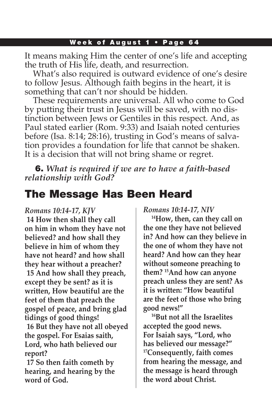### Week of August 1 • Page 64

It means making Him the center of one's life and accepting the truth of His life, death, and resurrection.

What's also required is outward evidence of one's desire to follow Jesus. Although faith begins in the heart, it is something that can't nor should be hidden.

These requirements are universal. All who come to God by putting their trust in Jesus will be saved, with no distinction between Jews or Gentiles in this respect. And, as Paul stated earlier (Rom. 9:33) and Isaiah noted centuries before (Isa. 8:14; 28:16), trusting in God's means of salvation provides a foundation for life that cannot be shaken. It is a decision that will not bring shame or regret.

6. *What is required if we are to have a faith-based relationship with God?*

### The Message Has Been Heard

#### *Romans 10:14-17, KJV*

**14 How then shall they call on him in whom they have not believed? and how shall they believe in him of whom they have not heard? and how shall they hear without a preacher? 15 And how shall they preach, except they be sent? as it is written, How beautiful are the feet of them that preach the gospel of peace, and bring glad tidings of good things! 16 But they have not all obeyed the gospel. For Esaias saith, Lord, who hath believed our report?**

**17 So then faith cometh by hearing, and hearing by the word of God.**

*Romans 10:14-17, NIV*

**14How, then, can they call on the one they have not believed in? And how can they believe in the one of whom they have not heard? And how can they hear without someone preaching to them? 15And how can anyone preach unless they are sent? As it is written: "How beautiful are the feet of those who bring good news!"**

**16But not all the Israelites accepted the good news. For Isaiah says, "Lord, who has believed our message?" 17Consequently, faith comes from hearing the message, and the message is heard through the word about Christ.**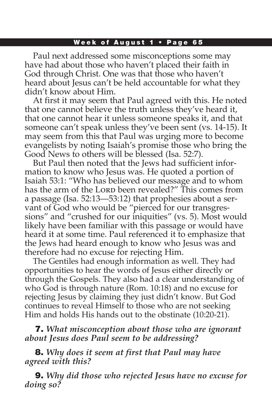### Week of August 1 • Page 65

Paul next addressed some misconceptions some may have had about those who haven't placed their faith in God through Christ. One was that those who haven't heard about Jesus can't be held accountable for what they didn't know about Him.

At first it may seem that Paul agreed with this. He noted that one cannot believe the truth unless they've heard it, that one cannot hear it unless someone speaks it, and that someone can't speak unless they've been sent (vs. 14-15). It may seem from this that Paul was urging more to become evangelists by noting Isaiah's promise those who bring the Good News to others will be blessed (Isa. 52:7).

But Paul then noted that the Jews had sufficient information to know who Jesus was. He quoted a portion of Isaiah 53:1: "Who has believed our message and to whom has the arm of the Lorp been revealed?" This comes from a passage (Isa. 52:13—53:12) that prophesies about a servant of God who would be "pierced for our transgressions" and "crushed for our iniquities" (vs. 5). Most would likely have been familiar with this passage or would have heard it at some time. Paul referenced it to emphasize that the Jews had heard enough to know who Jesus was and therefore had no excuse for rejecting Him.

The Gentiles had enough information as well. They had opportunities to hear the words of Jesus either directly or through the Gospels. They also had a clear understanding of who God is through nature (Rom. 10:18) and no excuse for rejecting Jesus by claiming they just didn't know. But God continues to reveal Himself to those who are not seeking Him and holds His hands out to the obstinate (10:20-21).

7. *What misconception about those who are ignorant about Jesus does Paul seem to be addressing?*

8. *Why does it seem at first that Paul may have agreed with this?*

9. *Why did those who rejected Jesus have no excuse for doing so?*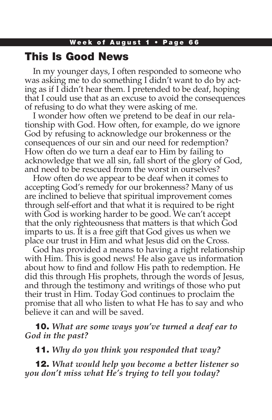### This Is Good News

In my younger days, I often responded to someone who was asking me to do something I didn't want to do by acting as if I didn't hear them. I pretended to be deaf, hoping that I could use that as an excuse to avoid the consequences of refusing to do what they were asking of me.

I wonder how often we pretend to be deaf in our relationship with God. How often, for example, do we ignore God by refusing to acknowledge our brokenness or the consequences of our sin and our need for redemption? How often do we turn a deaf ear to Him by failing to acknowledge that we all sin, fall short of the glory of God, and need to be rescued from the worst in ourselves?

How often do we appear to be deaf when it comes to accepting God's remedy for our brokenness? Many of us are inclined to believe that spiritual improvement comes through self-effort and that what it is required to be right with God is working harder to be good. We can't accept that the only righteousness that matters is that which God imparts to us. It is a free gift that God gives us when we place our trust in Him and what Jesus did on the Cross.

God has provided a means to having a right relationship with Him. This is good news! He also gave us information about how to find and follow His path to redemption. He did this through His prophets, through the words of Jesus, and through the testimony and writings of those who put their trust in Him. Today God continues to proclaim the promise that all who listen to what He has to say and who believe it can and will be saved.

10. *What are some ways you've turned a deaf ear to God in the past?*

11. *Why do you think you responded that way?*

12. *What would help you become a better listener so you don't miss what He's trying to tell you today?*